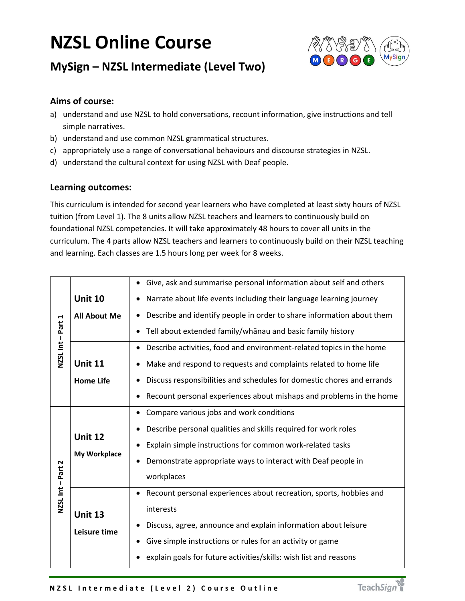## **NZSL Online Course**



## **MySign – NZSL Intermediate (Level Two)**

## **Aims of course:**

- a) understand and use NZSL to hold conversations, recount information, give instructions and tell simple narratives.
- b) understand and use common NZSL grammatical structures.
- c) appropriately use a range of conversational behaviours and discourse strategies in NZSL.
- d) understand the cultural context for using NZSL with Deaf people.

## **Learning outcomes:**

This curriculum is intended for second year learners who have completed at least sixty hours of NZSL tuition (from Level 1). The 8 units allow NZSL teachers and learners to continuously build on foundational NZSL competencies. It will take approximately 48 hours to cover all units in the curriculum. The 4 parts allow NZSL teachers and learners to continuously build on their NZSL teaching and learning. Each classes are 1.5 hours long per week for 8 weeks.

| NZSL Int-Part 1     |                                       | Give, ask and summarise personal information about self and others<br>$\bullet$<br>Narrate about life events including their language learning journey<br>٠ |  |  |
|---------------------|---------------------------------------|-------------------------------------------------------------------------------------------------------------------------------------------------------------|--|--|
|                     | <b>Unit 10</b>                        |                                                                                                                                                             |  |  |
|                     | <b>All About Me</b>                   | Describe and identify people in order to share information about them                                                                                       |  |  |
|                     |                                       | Tell about extended family/whanau and basic family history                                                                                                  |  |  |
|                     |                                       | Describe activities, food and environment-related topics in the home<br>٠                                                                                   |  |  |
|                     | <b>Unit 11</b>                        | Make and respond to requests and complaints related to home life<br>Discuss responsibilities and schedules for domestic chores and errands                  |  |  |
|                     | <b>Home Life</b>                      |                                                                                                                                                             |  |  |
|                     |                                       | Recount personal experiences about mishaps and problems in the home<br>٠                                                                                    |  |  |
| Part 2<br>NZSL Int- | <b>Unit 12</b><br><b>My Workplace</b> | Compare various jobs and work conditions<br>$\bullet$                                                                                                       |  |  |
|                     |                                       | Describe personal qualities and skills required for work roles                                                                                              |  |  |
|                     |                                       | Explain simple instructions for common work-related tasks<br>$\bullet$                                                                                      |  |  |
|                     |                                       | Demonstrate appropriate ways to interact with Deaf people in                                                                                                |  |  |
|                     |                                       | workplaces                                                                                                                                                  |  |  |
|                     | <b>Unit 13</b><br>Leisure time        | Recount personal experiences about recreation, sports, hobbies and<br>$\bullet$                                                                             |  |  |
|                     |                                       | interests                                                                                                                                                   |  |  |
|                     |                                       | Discuss, agree, announce and explain information about leisure                                                                                              |  |  |
|                     |                                       | Give simple instructions or rules for an activity or game                                                                                                   |  |  |
|                     |                                       | explain goals for future activities/skills: wish list and reasons                                                                                           |  |  |